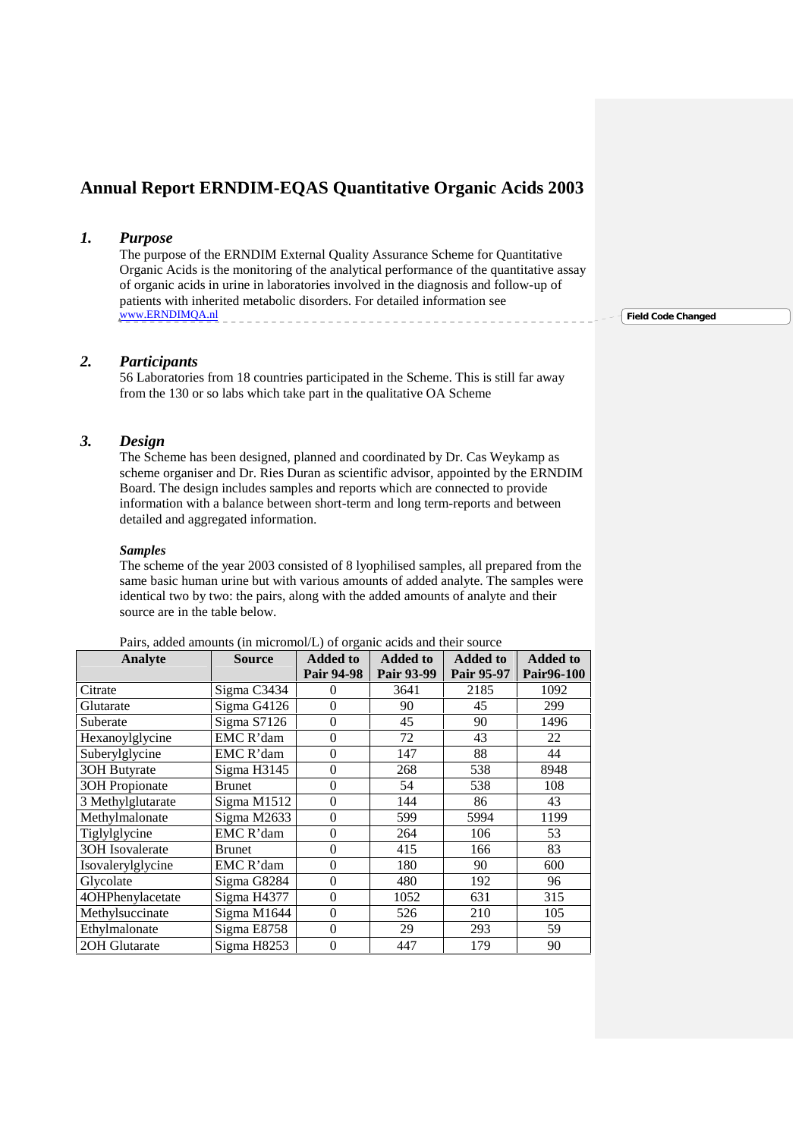# **Annual Report ERNDIM-EQAS Quantitative Organic Acids 2003**

### *1. Purpose*

The purpose of the ERNDIM External Quality Assurance Scheme for Quantitative Organic Acids is the monitoring of the analytical performance of the quantitative assay of organic acids in urine in laboratories involved in the diagnosis and follow-up of patients with inherited metabolic disorders. For detailed information see www.ERNDIMQA.nl

### *2. Participants*

56 Laboratories from 18 countries participated in the Scheme. This is still far away from the 130 or so labs which take part in the qualitative OA Scheme

### *3. Design*

The Scheme has been designed, planned and coordinated by Dr. Cas Weykamp as scheme organiser and Dr. Ries Duran as scientific advisor, appointed by the ERNDIM Board. The design includes samples and reports which are connected to provide information with a balance between short-term and long term-reports and between detailed and aggregated information.

#### *Samples*

The scheme of the year 2003 consisted of 8 lyophilised samples, all prepared from the same basic human urine but with various amounts of added analyte. The samples were identical two by two: the pairs, along with the added amounts of analyte and their source are in the table below.

| Analyte               | <b>Source</b> | <b>Added to</b>   | <b>Added to</b> | <b>Added to</b> | <b>Added to</b> |
|-----------------------|---------------|-------------------|-----------------|-----------------|-----------------|
|                       |               | <b>Pair 94-98</b> | Pair 93-99      | Pair 95-97      | Pair96-100      |
| Citrate               | Sigma C3434   | 0                 | 3641            | 2185            | 1092            |
| Glutarate             | Sigma G4126   | $\theta$          | 90              | 45              | 299             |
| Suberate              | Sigma S7126   | $\theta$          | 45              | 90              | 1496            |
| Hexanoylglycine       | EMC R'dam     | $\overline{0}$    | 72              | 43              | 22              |
| Suberylglycine        | EMC R'dam     | $\theta$          | 147             | 88              | 44              |
| 30H Butyrate          | Sigma H3145   | $\theta$          | 268             | 538             | 8948            |
| <b>3OH</b> Propionate | <b>Brunet</b> | $\overline{0}$    | 54              | 538             | 108             |
| 3 Methylglutarate     | Sigma M1512   | $\boldsymbol{0}$  | 144             | 86              | 43              |
| Methylmalonate        | Sigma M2633   | $\overline{0}$    | 599             | 5994            | 1199            |
| Tiglylglycine         | EMC R'dam     | $\overline{0}$    | 264             | 106             | 53              |
| 30H Isovalerate       | <b>Brunet</b> | $\overline{0}$    | 415             | 166             | 83              |
| Isovalerylglycine     | EMC R'dam     | $\theta$          | 180             | 90              | 600             |
| Glycolate             | Sigma G8284   | $\overline{0}$    | 480             | 192             | 96              |
| 4OHPhenylacetate      | Sigma H4377   | $\Omega$          | 1052            | 631             | 315             |
| Methylsuccinate       | Sigma M1644   | $\Omega$          | 526             | 210             | 105             |
| Ethylmalonate         | Sigma E8758   | $\Omega$          | 29              | 293             | 59              |
| 2OH Glutarate         | Sigma H8253   | $\theta$          | 447             | 179             | 90              |

Pairs, added amounts (in micromol/L) of organic acids and their source

**Field Code Changed**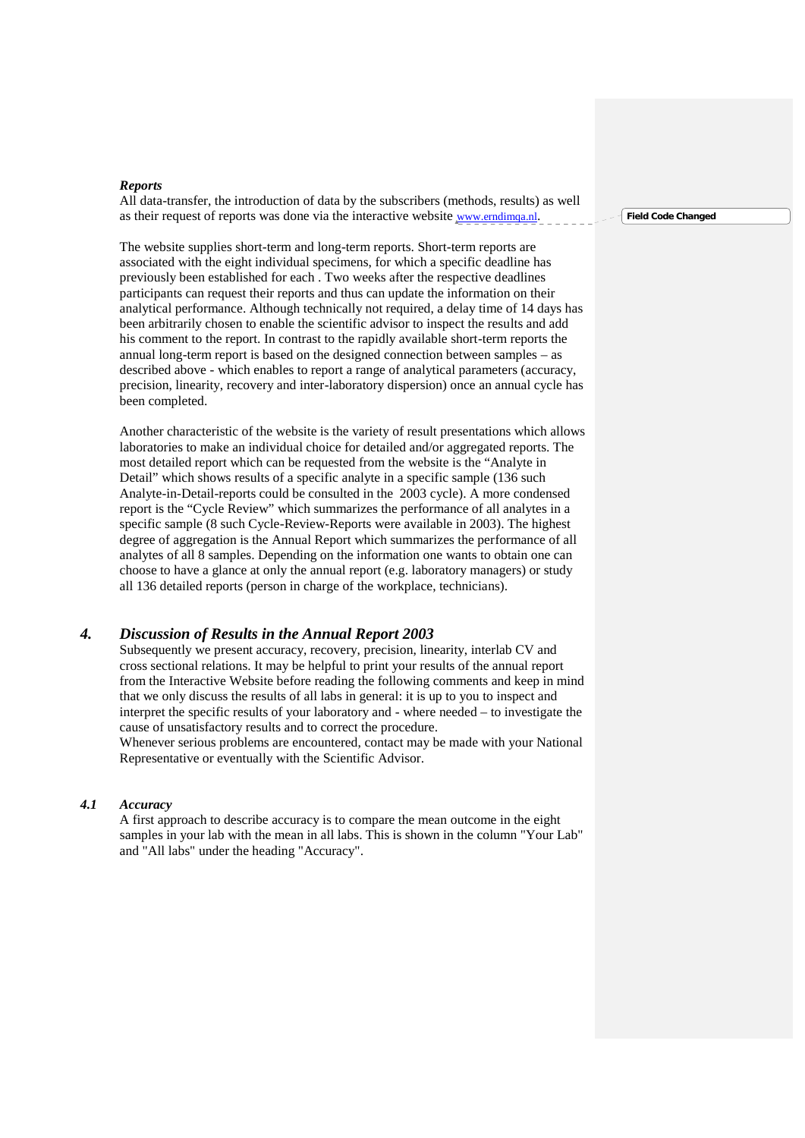#### *Reports*

All data-transfer, the introduction of data by the subscribers (methods, results) as well as their request of reports was done via the interactive website www.erndimqa.nl.

The website supplies short-term and long-term reports. Short-term reports are associated with the eight individual specimens, for which a specific deadline has previously been established for each . Two weeks after the respective deadlines participants can request their reports and thus can update the information on their analytical performance. Although technically not required, a delay time of 14 days has been arbitrarily chosen to enable the scientific advisor to inspect the results and add his comment to the report. In contrast to the rapidly available short-term reports the annual long-term report is based on the designed connection between samples – as described above - which enables to report a range of analytical parameters (accuracy, precision, linearity, recovery and inter-laboratory dispersion) once an annual cycle has been completed.

Another characteristic of the website is the variety of result presentations which allows laboratories to make an individual choice for detailed and/or aggregated reports. The most detailed report which can be requested from the website is the "Analyte in Detail" which shows results of a specific analyte in a specific sample (136 such Analyte-in-Detail-reports could be consulted in the 2003 cycle). A more condensed report is the "Cycle Review" which summarizes the performance of all analytes in a specific sample (8 such Cycle-Review-Reports were available in 2003). The highest degree of aggregation is the Annual Report which summarizes the performance of all analytes of all 8 samples. Depending on the information one wants to obtain one can choose to have a glance at only the annual report (e.g. laboratory managers) or study all 136 detailed reports (person in charge of the workplace, technicians).

### *4. Discussion of Results in the Annual Report 2003*

Subsequently we present accuracy, recovery, precision, linearity, interlab CV and cross sectional relations. It may be helpful to print your results of the annual report from the Interactive Website before reading the following comments and keep in mind that we only discuss the results of all labs in general: it is up to you to inspect and interpret the specific results of your laboratory and - where needed – to investigate the cause of unsatisfactory results and to correct the procedure.

Whenever serious problems are encountered, contact may be made with your National Representative or eventually with the Scientific Advisor.

#### *4.1 Accuracy*

A first approach to describe accuracy is to compare the mean outcome in the eight samples in your lab with the mean in all labs. This is shown in the column "Your Lab" and "All labs" under the heading "Accuracy".

**Field Code Changed**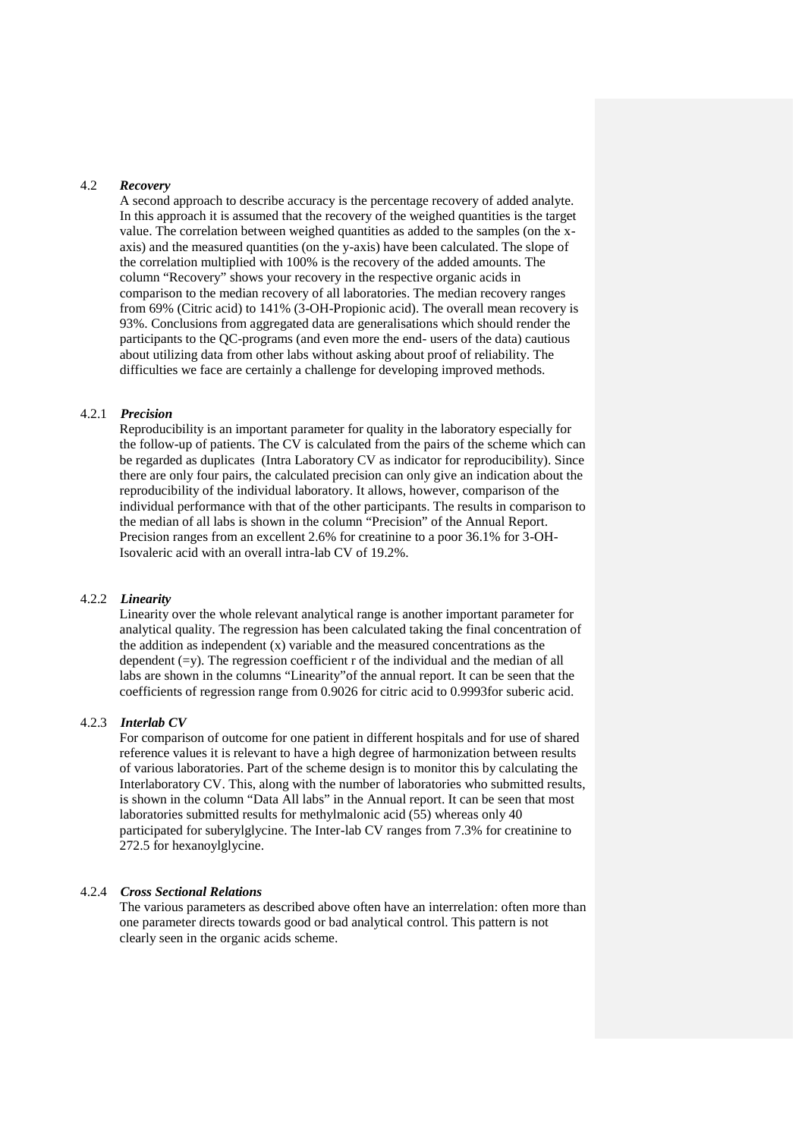### 4.2 *Recovery*

A second approach to describe accuracy is the percentage recovery of added analyte. In this approach it is assumed that the recovery of the weighed quantities is the target value. The correlation between weighed quantities as added to the samples (on the x axis) and the measured quantities (on the y-axis) have been calculated. The slope of the correlation multiplied with 100% is the recovery of the added amounts. The column "Recovery" shows your recovery in the respective organic acids in comparison to the median recovery of all laboratories. The median recovery ranges from 69% (Citric acid) to 141% (3-OH-Propionic acid). The overall mean recovery is 93%. Conclusions from aggregated data are generalisations which should render the participants to the QC-programs (and even more the end- users of the data) cautious about utilizing data from other labs without asking about proof of reliability. The difficulties we face are certainly a challenge for developing improved methods.

#### 4.2.1 *Precision*

Reproducibility is an important parameter for quality in the laboratory especially for the follow-up of patients. The CV is calculated from the pairs of the scheme which can be regarded as duplicates (Intra Laboratory CV as indicator for reproducibility). Since there are only four pairs, the calculated precision can only give an indication about the reproducibility of the individual laboratory. It allows, however, comparison of the individual performance with that of the other participants. The results in comparison to the median of all labs is shown in the column "Precision" of the Annual Report. Precision ranges from an excellent 2.6% for creatinine to a poor 36.1% for 3-OH-Isovaleric acid with an overall intra-lab CV of 19.2%.

#### 4.2.2 *Linearity*

Linearity over the whole relevant analytical range is another important parameter for analytical quality. The regression has been calculated taking the final concentration of the addition as independent  $(x)$  variable and the measured concentrations as the dependent  $(=v)$ . The regression coefficient r of the individual and the median of all labs are shown in the columns "Linearity"of the annual report. It can be seen that the coefficients of regression range from 0.9026 for citric acid to 0.9993for suberic acid.

#### 4.2.3 *Interlab CV*

For comparison of outcome for one patient in different hospitals and for use of shared reference values it is relevant to have a high degree of harmonization between results of various laboratories. Part of the scheme design is to monitor this by calculating the Interlaboratory CV. This, along with the number of laboratories who submitted results, is shown in the column "Data All labs" in the Annual report. It can be seen that most laboratories submitted results for methylmalonic acid (55) whereas only 40 participated for suberylglycine. The Inter-lab CV ranges from 7.3% for creatinine to 272.5 for hexanoylglycine.

#### 4.2.4 *Cross Sectional Relations*

The various parameters as described above often have an interrelation: often more than one parameter directs towards good or bad analytical control. This pattern is not clearly seen in the organic acids scheme.